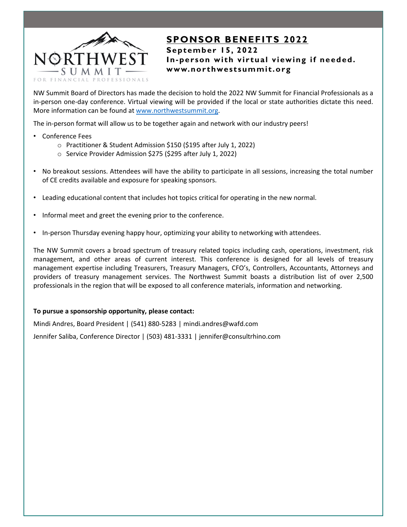

## **SPONSOR BENEFITS 2022 September 15, 2022 In-person with virtual viewing if needed. www.northwestsummit.org**

NW Summit Board of Directors has made the decision to hold the 2022 NW Summit for Financial Professionals as a in-person one-day conference. Virtual viewing will be provided if the local or state authorities dictate this need. More information can be found at www.northwestsummit.org.

The in-person format will allow us to be together again and network with our industry peers!

- Conference Fees
	- o Practitioner & Student Admission \$150 (\$195 after July 1, 2022)
	- o Service Provider Admission \$275 (\$295 after July 1, 2022)
- No breakout sessions. Attendees will have the ability to participate in all sessions, increasing the total number of CE credits available and exposure for speaking sponsors.
- Leading educational content that includes hot topics critical for operating in the new normal.
- Informal meet and greet the evening prior to the conference.
- In-person Thursday evening happy hour, optimizing your ability to networking with attendees.

The NW Summit covers a broad spectrum of treasury related topics including cash, operations, investment, risk management, and other areas of current interest. This conference is designed for all levels of treasury management expertise including Treasurers, Treasury Managers, CFO's, Controllers, Accountants, Attorneys and providers of treasury management services. The Northwest Summit boasts a distribution list of over 2,500 professionals in the region that will be exposed to all conference materials, information and networking.

### **To pursue a sponsorship opportunity, please contact:**

Mindi Andres, Board President | (541) 880‐5283 | mindi.andres@wafd.com Jennifer Saliba, Conference Director | (503) 481-3331 | jennifer@consultrhino.com